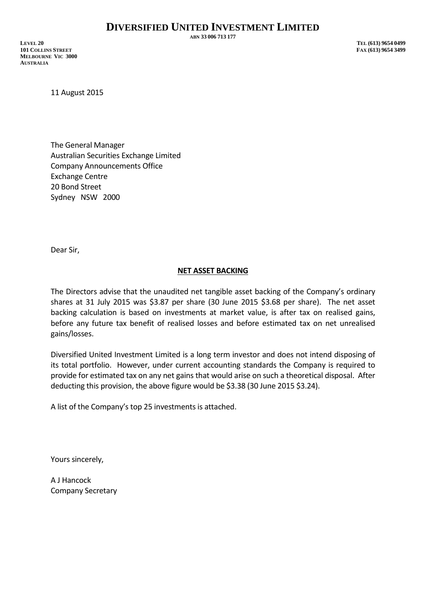**ABN 33 006 713 177**

**LEVEL 20 TEL (613) 9654 0499 101 COLLINS STREET FAX (613) 9654 3499 MELBOURNE VIC 3000 AUSTRALIA**

11 August 2015

The General Manager Australian Securities Exchange Limited Company Announcements Office Exchange Centre 20 Bond Street Sydney NSW 2000

Dear Sir,

## **NET ASSET BACKING**

The Directors advise that the unaudited net tangible asset backing of the Company's ordinary shares at 31 July 2015 was \$3.87 per share (30 June 2015 \$3.68 per share). The net asset backing calculation is based on investments at market value, is after tax on realised gains, before any future tax benefit of realised losses and before estimated tax on net unrealised gains/losses.

Diversified United Investment Limited is a long term investor and does not intend disposing of its total portfolio. However, under current accounting standards the Company is required to provide for estimated tax on any net gains that would arise on such a theoretical disposal. After deducting this provision, the above figure would be \$3.38 (30 June 2015 \$3.24).

A list of the Company's top 25 investments is attached.

Yours sincerely,

A J Hancock Company Secretary